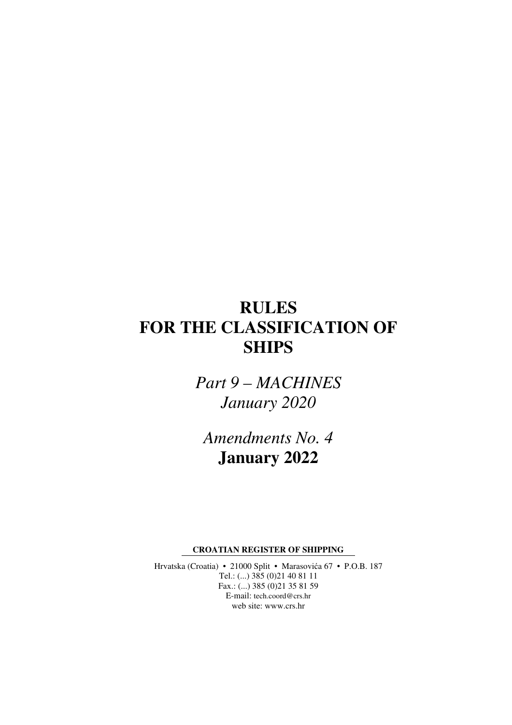# **RULES FOR THE CLASSIFICATION OF SHIPS**

*Part 9 – MACHINES January 2020* 

*Amendments No. 4*  **January 2022** 

**CROATIAN REGISTER OF SHIPPING** 

Hrvatska (Croatia) • 21000 Split • Marasovića 67 • P.O.B. 187 Tel.: (...) 385 (0)21 40 81 11 Fax.: (...) 385 (0)21 35 81 59 E-mail: tech.coord@crs.hr web site: www.crs.hr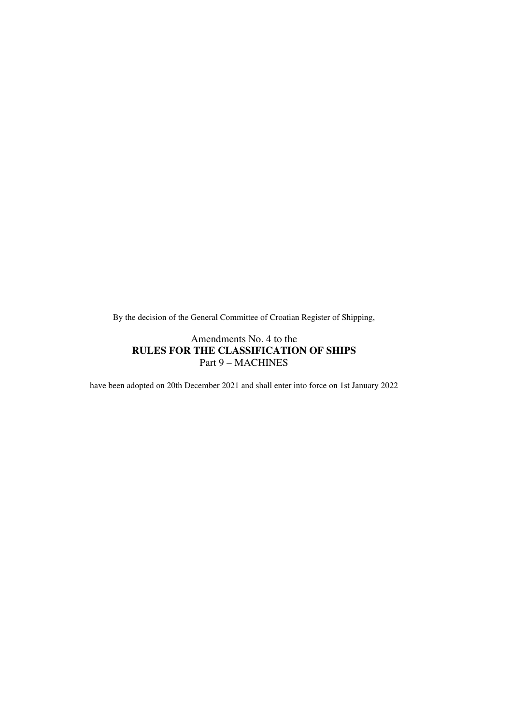By the decision of the General Committee of Croatian Register of Shipping,

## Amendments No. 4 to the **RULES FOR THE CLASSIFICATION OF SHIPS**  Part 9 – MACHINES

have been adopted on 20th December 2021 and shall enter into force on 1st January 2022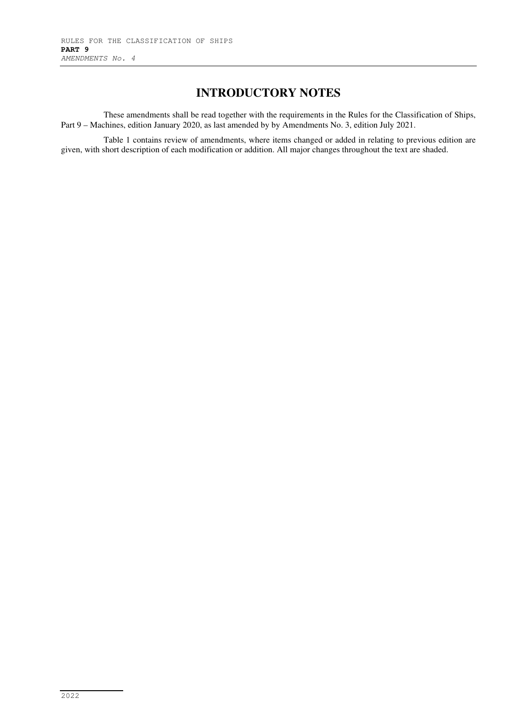# **INTRODUCTORY NOTES**

These amendments shall be read together with the requirements in the Rules for the Classification of Ships, Part 9 – Machines, edition January 2020, as last amended by by Amendments No. 3, edition July 2021.

Table 1 contains review of amendments, where items changed or added in relating to previous edition are given, with short description of each modification or addition. All major changes throughout the text are shaded.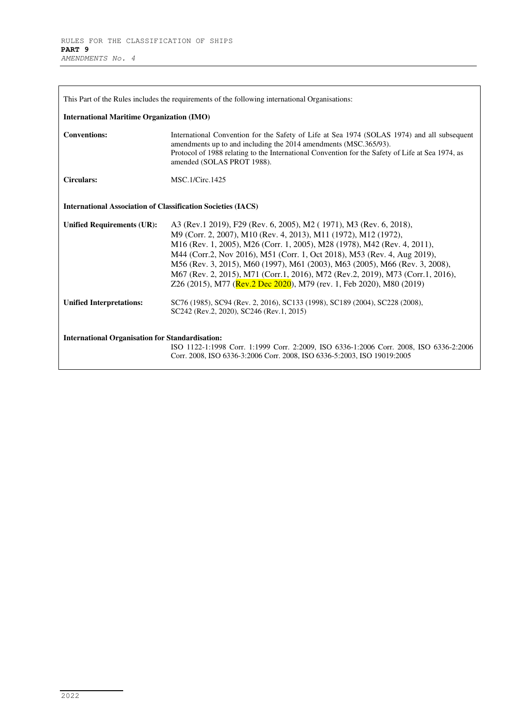| This Part of the Rules includes the requirements of the following international Organisations:                                                                                                                              |                                                                                                                                                                                                                                                                                                                                                                                                                                                                                                                                        |  |
|-----------------------------------------------------------------------------------------------------------------------------------------------------------------------------------------------------------------------------|----------------------------------------------------------------------------------------------------------------------------------------------------------------------------------------------------------------------------------------------------------------------------------------------------------------------------------------------------------------------------------------------------------------------------------------------------------------------------------------------------------------------------------------|--|
| <b>International Maritime Organization (IMO)</b>                                                                                                                                                                            |                                                                                                                                                                                                                                                                                                                                                                                                                                                                                                                                        |  |
| <b>Conventions:</b>                                                                                                                                                                                                         | International Convention for the Safety of Life at Sea 1974 (SOLAS 1974) and all subsequent<br>amendments up to and including the 2014 amendments (MSC.365/93).<br>Protocol of 1988 relating to the International Convention for the Safety of Life at Sea 1974, as<br>amended (SOLAS PROT 1988).                                                                                                                                                                                                                                      |  |
| <b>Circulars:</b>                                                                                                                                                                                                           | MSC.1/Circ.1425                                                                                                                                                                                                                                                                                                                                                                                                                                                                                                                        |  |
| <b>International Association of Classification Societies (IACS)</b>                                                                                                                                                         |                                                                                                                                                                                                                                                                                                                                                                                                                                                                                                                                        |  |
| <b>Unified Requirements (UR):</b>                                                                                                                                                                                           | A3 (Rev.1 2019), F29 (Rev. 6, 2005), M2 (1971), M3 (Rev. 6, 2018),<br>M9 (Corr. 2, 2007), M10 (Rev. 4, 2013), M11 (1972), M12 (1972),<br>M16 (Rev. 1, 2005), M26 (Corr. 1, 2005), M28 (1978), M42 (Rev. 4, 2011),<br>M44 (Corr.2, Nov 2016), M51 (Corr. 1, Oct 2018), M53 (Rev. 4, Aug 2019),<br>M56 (Rev. 3, 2015), M60 (1997), M61 (2003), M63 (2005), M66 (Rev. 3, 2008),<br>M67 (Rev. 2, 2015), M71 (Corr.1, 2016), M72 (Rev.2, 2019), M73 (Corr.1, 2016),<br>Z26 (2015), M77 (Rev.2 Dec 2020), M79 (rev. 1, Feb 2020), M80 (2019) |  |
| <b>Unified Interpretations:</b>                                                                                                                                                                                             | SC76 (1985), SC94 (Rev. 2, 2016), SC133 (1998), SC189 (2004), SC228 (2008),<br>SC242 (Rev.2, 2020), SC246 (Rev.1, 2015)                                                                                                                                                                                                                                                                                                                                                                                                                |  |
| <b>International Organisation for Standardisation:</b><br>ISO 1122-1:1998 Corr. 1:1999 Corr. 2:2009, ISO 6336-1:2006 Corr. 2008, ISO 6336-2:2006<br>Corr. 2008, ISO 6336-3:2006 Corr. 2008, ISO 6336-5:2003, ISO 19019:2005 |                                                                                                                                                                                                                                                                                                                                                                                                                                                                                                                                        |  |

┑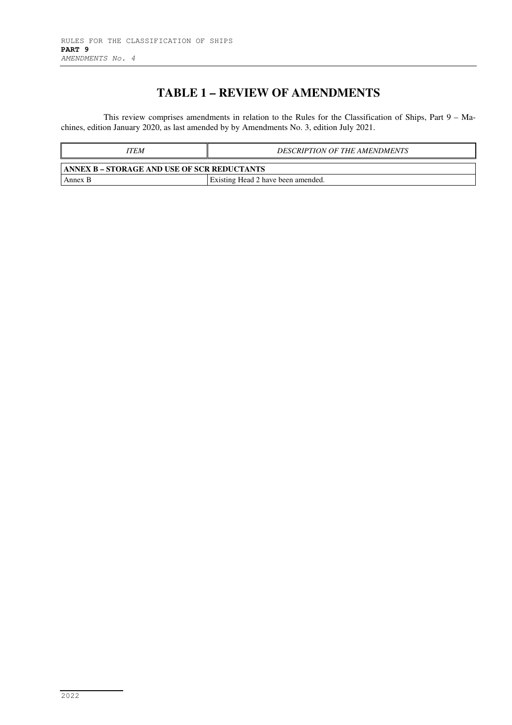# **TABLE 1 – REVIEW OF AMENDMENTS**

This review comprises amendments in relation to the Rules for the Classification of Ships, Part 9 – Machines, edition January 2020, as last amended by by Amendments No. 3, edition July 2021.

| ITEM                                                | <b>DESCRIPTION OF THE AMENDMENTS</b> |  |  |
|-----------------------------------------------------|--------------------------------------|--|--|
| <b>TANNEX B – STORAGE AND USE OF SCR REDUCTANTS</b> |                                      |  |  |
| Annex B                                             | Existing Head 2 have been amended.   |  |  |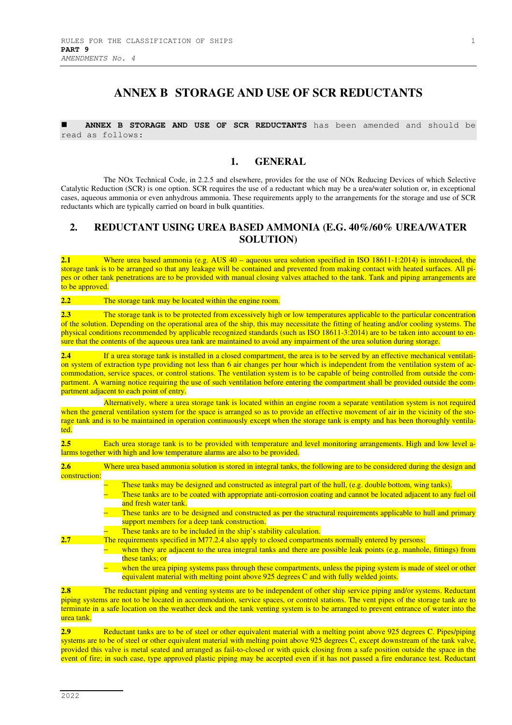## **ANNEX B STORAGE AND USE OF SCR REDUCTANTS**

 **ANNEX B STORAGE AND USE OF SCR REDUCTANTS** has been amended and should be read as follows:

#### **1. GENERAL**

The NOx Technical Code, in 2.2.5 and elsewhere, provides for the use of NOx Reducing Devices of which Selective Catalytic Reduction (SCR) is one option. SCR requires the use of a reductant which may be a urea/water solution or, in exceptional cases, aqueous ammonia or even anhydrous ammonia. These requirements apply to the arrangements for the storage and use of SCR reductants which are typically carried on board in bulk quantities.

#### **2. REDUCTANT USING UREA BASED AMMONIA (E.G. 40%/60% UREA/WATER SOLUTION)**

**2.1** Where urea based ammonia (e.g. AUS 40 – aqueous urea solution specified in ISO 18611-1:2014) is introduced, the storage tank is to be arranged so that any leakage will be contained and prevented from making contact with heated surfaces. All pipes or other tank penetrations are to be provided with manual closing valves attached to the tank. Tank and piping arrangements are to be approved.

**2.2** The storage tank may be located within the engine room.

**2.3** The storage tank is to be protected from excessively high or low temperatures applicable to the particular concentration of the solution. Depending on the operational area of the ship, this may necessitate the fitting of heating and/or cooling systems. The physical conditions recommended by applicable recognized standards (such as ISO 18611-3:2014) are to be taken into account to ensure that the contents of the aqueous urea tank are maintained to avoid any impairment of the urea solution during storage.

**2.4** If a urea storage tank is installed in a closed compartment, the area is to be served by an effective mechanical ventilation system of extraction type providing not less than 6 air changes per hour which is independent from the ventilation system of accommodation, service spaces, or control stations. The ventilation system is to be capable of being controlled from outside the compartment. A warning notice requiring the use of such ventilation before entering the compartment shall be provided outside the compartment adjacent to each point of entry.

Alternatively, where a urea storage tank is located within an engine room a separate ventilation system is not required when the general ventilation system for the space is arranged so as to provide an effective movement of air in the vicinity of the storage tank and is to be maintained in operation continuously except when the storage tank is empty and has been thoroughly ventilated.

**2.5** Each urea storage tank is to be provided with temperature and level monitoring arrangements. High and low level alarms together with high and low temperature alarms are also to be provided.

**2.6** Where urea based ammonia solution is stored in integral tanks, the following are to be considered during the design and construction:

- These tanks may be designed and constructed as integral part of the hull, (e.g. double bottom, wing tanks).
	- These tanks are to be coated with appropriate anti-corrosion coating and cannot be located adjacent to any fuel oil and fresh water tank.
	- These tanks are to be designed and constructed as per the structural requirements applicable to hull and primary support members for a deep tank construction.
- These tanks are to be included in the ship's stability calculation.
- **2.7** The requirements specified in M77.2.4 also apply to closed compartments normally entered by persons:
	- when they are adjacent to the urea integral tanks and there are possible leak points (e.g. manhole, fittings) from these tanks; or
		- − when the urea piping systems pass through these compartments, unless the piping system is made of steel or other equivalent material with melting point above 925 degrees C and with fully welded joints.

**2.8** The reductant piping and venting systems are to be independent of other ship service piping and/or systems. Reductant piping systems are not to be located in accommodation, service spaces, or control stations. The vent pipes of the storage tank are to terminate in a safe location on the weather deck and the tank venting system is to be arranged to prevent entrance of water into the urea tank.

**2.9** Reductant tanks are to be of steel or other equivalent material with a melting point above 925 degrees C. Pipes/piping systems are to be of steel or other equivalent material with melting point above 925 degrees C, except downstream of the tank valve, provided this valve is metal seated and arranged as fail-to-closed or with quick closing from a safe position outside the space in the event of fire; in such case, type approved plastic piping may be accepted even if it has not passed a fire endurance test. Reductant